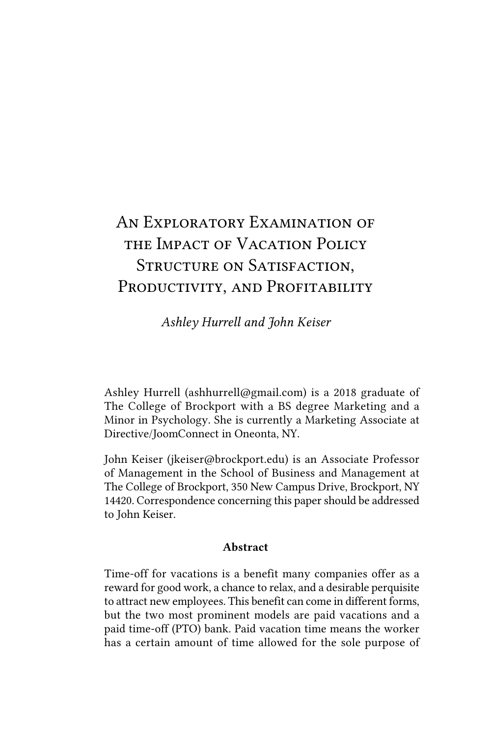# *An Exploratory Examination of the Impact of Vacation Policy Structure on Satisfaction, Productivity, and Profitability*

*Ashley Hurrell and John Keiser*

Ashley Hurrell (ashhurrell@gmail.com) is a 2018 graduate of The College of Brockport with a BS degree Marketing and a Minor in Psychology. She is currently a Marketing Associate at Directive/JoomConnect in Oneonta, NY.

John Keiser (jkeiser@brockport.edu) is an Associate Professor of Management in the School of Business and Management at The College of Brockport, 350 New Campus Drive, Brockport, NY 14420. Correspondence concerning this paper should be addressed to John Keiser.

#### Abstract

Time-off for vacations is a benefit many companies offer as a reward for good work, a chance to relax, and a desirable perquisite to attract new employees. This benefit can come in different forms, but the two most prominent models are paid vacations and a paid time-off (PTO) bank. Paid vacation time means the worker has a certain amount of time allowed for the sole purpose of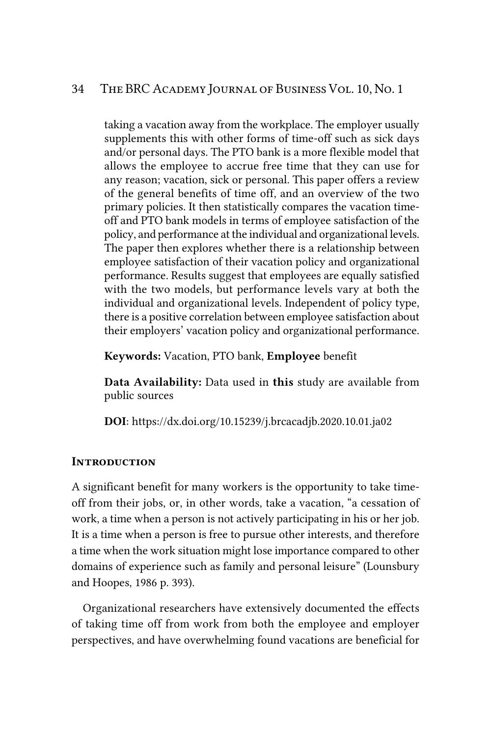taking a vacation away from the workplace. The employer usually supplements this with other forms of time-off such as sick days and/or personal days. The PTO bank is a more flexible model that allows the employee to accrue free time that they can use for any reason; vacation, sick or personal. This paper offers a review of the general benefits of time off, and an overview of the two primary policies. It then statistically compares the vacation timeoff and PTO bank models in terms of employee satisfaction of the policy, and performance at the individual and organizational levels. The paper then explores whether there is a relationship between employee satisfaction of their vacation policy and organizational performance. Results suggest that employees are equally satisfied with the two models, but performance levels vary at both the individual and organizational levels. Independent of policy type, there is a positive correlation between employee satisfaction about their employers' vacation policy and organizational performance.

Keywords: Vacation, PTO bank, Employee benefit

Data Availability: Data used in this study are available from public sources

DOI: https://dx.doi.org/10.15239/j.brcacadjb.2020.10.01.ja02

#### *Introduction*

A significant benefit for many workers is the opportunity to take timeoff from their jobs, or, in other words, take a vacation, "a cessation of work, a time when a person is not actively participating in his or her job. It is a time when a person is free to pursue other interests, and therefore a time when the work situation might lose importance compared to other domains of experience such as family and personal leisure" (Lounsbury and Hoopes, 1986 p. 393).

Organizational researchers have extensively documented the effects of taking time off from work from both the employee and employer perspectives, and have overwhelming found vacations are beneficial for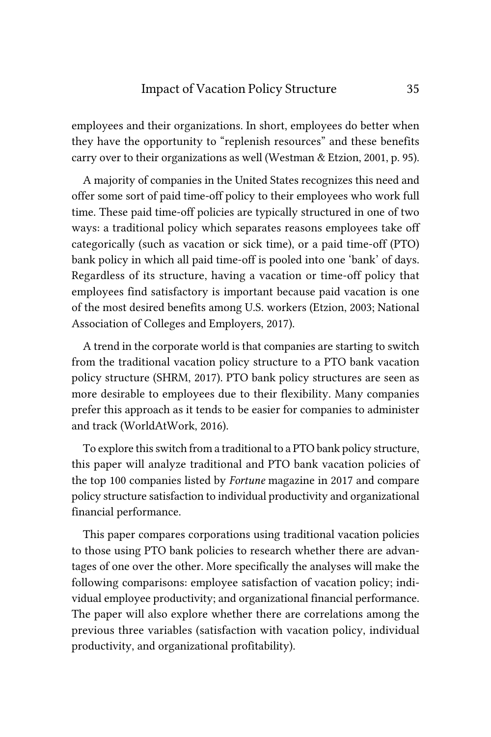## Impact of Vacation Policy Structure 35

employees and their organizations. In short, employees do better when they have the opportunity to "replenish resources" and these benefits carry over to their organizations as well (Westman & Etzion, 2001, p. 95).

A majority of companies in the United States recognizes this need and offer some sort of paid time-off policy to their employees who work full time. These paid time-off policies are typically structured in one of two ways: a traditional policy which separates reasons employees take off categorically (such as vacation or sick time), or a paid time-off (PTO) bank policy in which all paid time-off is pooled into one 'bank' of days. Regardless of its structure, having a vacation or time-off policy that employees find satisfactory is important because paid vacation is one of the most desired benefits among U.S. workers (Etzion, 2003; National Association of Colleges and Employers, 2017).

A trend in the corporate world is that companies are starting to switch from the traditional vacation policy structure to a PTO bank vacation policy structure (SHRM, 2017). PTO bank policy structures are seen as more desirable to employees due to their flexibility. Many companies prefer this approach as it tends to be easier for companies to administer and track (WorldAtWork, 2016).

To explore this switch from a traditional to a PTO bank policy structure, this paper will analyze traditional and PTO bank vacation policies of the top 100 companies listed by *Fortune* magazine in 2017 and compare policy structure satisfaction to individual productivity and organizational financial performance.

This paper compares corporations using traditional vacation policies to those using PTO bank policies to research whether there are advantages of one over the other. More specifically the analyses will make the following comparisons: employee satisfaction of vacation policy; individual employee productivity; and organizational financial performance. The paper will also explore whether there are correlations among the previous three variables (satisfaction with vacation policy, individual productivity, and organizational profitability).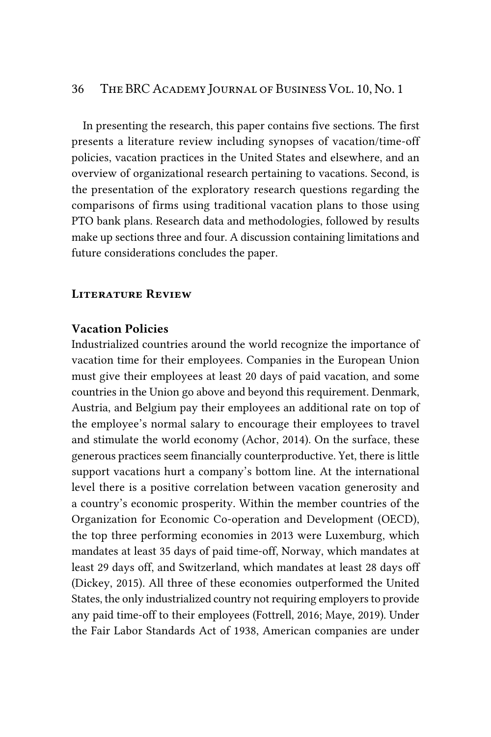In presenting the research, this paper contains five sections. The first presents a literature review including synopses of vacation/time-off policies, vacation practices in the United States and elsewhere, and an overview of organizational research pertaining to vacations. Second, is the presentation of the exploratory research questions regarding the comparisons of firms using traditional vacation plans to those using PTO bank plans. Research data and methodologies, followed by results make up sections three and four. A discussion containing limitations and future considerations concludes the paper.

### *Literature Review*

## Vacation Policies

Industrialized countries around the world recognize the importance of vacation time for their employees. Companies in the European Union must give their employees at least 20 days of paid vacation, and some countries in the Union go above and beyond this requirement. Denmark, Austria, and Belgium pay their employees an additional rate on top of the employee's normal salary to encourage their employees to travel and stimulate the world economy (Achor, 2014). On the surface, these generous practices seem financially counterproductive. Yet, there is little support vacations hurt a company's bottom line. At the international level there is a positive correlation between vacation generosity and a country's economic prosperity. Within the member countries of the Organization for Economic Co-operation and Development (OECD), the top three performing economies in 2013 were Luxemburg, which mandates at least 35 days of paid time-off, Norway, which mandates at least 29 days off, and Switzerland, which mandates at least 28 days off (Dickey, 2015). All three of these economies outperformed the United States, the only industrialized country not requiring employers to provide any paid time-off to their employees (Fottrell, 2016; Maye, 2019). Under the Fair Labor Standards Act of 1938, American companies are under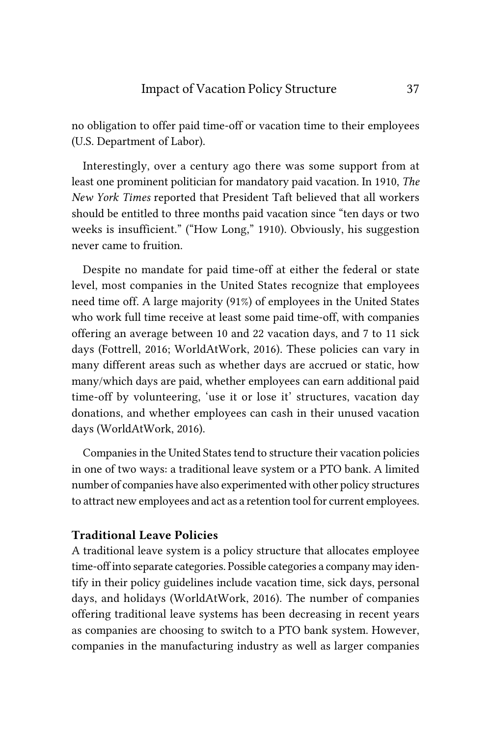no obligation to offer paid time-off or vacation time to their employees (U.S. Department of Labor).

Interestingly, over a century ago there was some support from at least one prominent politician for mandatory paid vacation. In 1910, *The New York Times* reported that President Taft believed that all workers should be entitled to three months paid vacation since "ten days or two weeks is insufficient." ("How Long," 1910). Obviously, his suggestion never came to fruition.

Despite no mandate for paid time-off at either the federal or state level, most companies in the United States recognize that employees need time off. A large majority (91%) of employees in the United States who work full time receive at least some paid time-off, with companies offering an average between 10 and 22 vacation days, and 7 to 11 sick days (Fottrell, 2016; WorldAtWork, 2016). These policies can vary in many different areas such as whether days are accrued or static, how many/which days are paid, whether employees can earn additional paid time-off by volunteering, 'use it or lose it' structures, vacation day donations, and whether employees can cash in their unused vacation days (WorldAtWork, 2016).

Companies in the United States tend to structure their vacation policies in one of two ways: a traditional leave system or a PTO bank. A limited number of companies have also experimented with other policy structures to attract new employees and act as a retention tool for current employees.

# Traditional Leave Policies

A traditional leave system is a policy structure that allocates employee time-off into separate categories. Possible categories a company may identify in their policy guidelines include vacation time, sick days, personal days, and holidays (WorldAtWork, 2016). The number of companies offering traditional leave systems has been decreasing in recent years as companies are choosing to switch to a PTO bank system. However, companies in the manufacturing industry as well as larger companies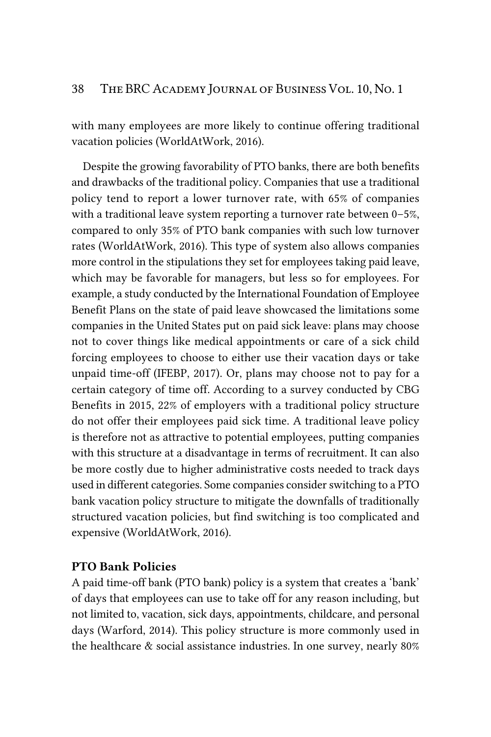with many employees are more likely to continue offering traditional vacation policies (WorldAtWork, 2016).

Despite the growing favorability of PTO banks, there are both benefits and drawbacks of the traditional policy. Companies that use a traditional policy tend to report a lower turnover rate, with 65% of companies with a traditional leave system reporting a turnover rate between 0–5%, compared to only 35% of PTO bank companies with such low turnover rates (WorldAtWork, 2016). This type of system also allows companies more control in the stipulations they set for employees taking paid leave, which may be favorable for managers, but less so for employees. For example, a study conducted by the International Foundation of Employee Benefit Plans on the state of paid leave showcased the limitations some companies in the United States put on paid sick leave: plans may choose not to cover things like medical appointments or care of a sick child forcing employees to choose to either use their vacation days or take unpaid time-off (IFEBP, 2017). Or, plans may choose not to pay for a certain category of time off. According to a survey conducted by CBG Benefits in 2015, 22% of employers with a traditional policy structure do not offer their employees paid sick time. A traditional leave policy is therefore not as attractive to potential employees, putting companies with this structure at a disadvantage in terms of recruitment. It can also be more costly due to higher administrative costs needed to track days used in different categories. Some companies consider switching to a PTO bank vacation policy structure to mitigate the downfalls of traditionally structured vacation policies, but find switching is too complicated and expensive (WorldAtWork, 2016).

# PTO Bank Policies

A paid time-off bank (PTO bank) policy is a system that creates a 'bank' of days that employees can use to take off for any reason including, but not limited to, vacation, sick days, appointments, childcare, and personal days (Warford, 2014). This policy structure is more commonly used in the healthcare & social assistance industries. In one survey, nearly 80%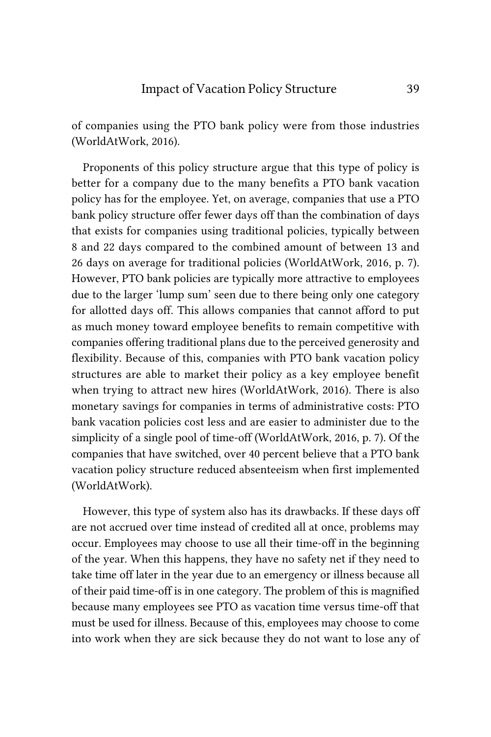of companies using the PTO bank policy were from those industries (WorldAtWork, 2016).

Proponents of this policy structure argue that this type of policy is better for a company due to the many benefits a PTO bank vacation policy has for the employee. Yet, on average, companies that use a PTO bank policy structure offer fewer days off than the combination of days that exists for companies using traditional policies, typically between 8 and 22 days compared to the combined amount of between 13 and 26 days on average for traditional policies (WorldAtWork, 2016, p. 7). However, PTO bank policies are typically more attractive to employees due to the larger 'lump sum' seen due to there being only one category for allotted days off. This allows companies that cannot afford to put as much money toward employee benefits to remain competitive with companies offering traditional plans due to the perceived generosity and flexibility. Because of this, companies with PTO bank vacation policy structures are able to market their policy as a key employee benefit when trying to attract new hires (WorldAtWork, 2016). There is also monetary savings for companies in terms of administrative costs: PTO bank vacation policies cost less and are easier to administer due to the simplicity of a single pool of time-off (WorldAtWork, 2016, p. 7). Of the companies that have switched, over 40 percent believe that a PTO bank vacation policy structure reduced absenteeism when first implemented (WorldAtWork).

However, this type of system also has its drawbacks. If these days off are not accrued over time instead of credited all at once, problems may occur. Employees may choose to use all their time-off in the beginning of the year. When this happens, they have no safety net if they need to take time off later in the year due to an emergency or illness because all of their paid time-off is in one category. The problem of this is magnified because many employees see PTO as vacation time versus time-off that must be used for illness. Because of this, employees may choose to come into work when they are sick because they do not want to lose any of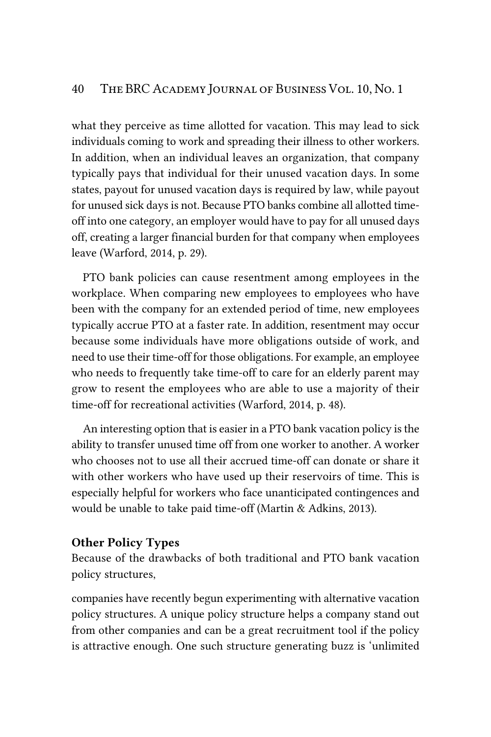what they perceive as time allotted for vacation. This may lead to sick individuals coming to work and spreading their illness to other workers. In addition, when an individual leaves an organization, that company typically pays that individual for their unused vacation days. In some states, payout for unused vacation days is required by law, while payout for unused sick days is not. Because PTO banks combine all allotted timeoff into one category, an employer would have to pay for all unused days off, creating a larger financial burden for that company when employees leave (Warford, 2014, p. 29).

PTO bank policies can cause resentment among employees in the workplace. When comparing new employees to employees who have been with the company for an extended period of time, new employees typically accrue PTO at a faster rate. In addition, resentment may occur because some individuals have more obligations outside of work, and need to use their time-off for those obligations. For example, an employee who needs to frequently take time-off to care for an elderly parent may grow to resent the employees who are able to use a majority of their time-off for recreational activities (Warford, 2014, p. 48).

An interesting option that is easier in a PTO bank vacation policy is the ability to transfer unused time off from one worker to another. A worker who chooses not to use all their accrued time-off can donate or share it with other workers who have used up their reservoirs of time. This is especially helpful for workers who face unanticipated contingences and would be unable to take paid time-off (Martin & Adkins, 2013).

#### Other Policy Types

Because of the drawbacks of both traditional and PTO bank vacation policy structures,

companies have recently begun experimenting with alternative vacation policy structures. A unique policy structure helps a company stand out from other companies and can be a great recruitment tool if the policy is attractive enough. One such structure generating buzz is 'unlimited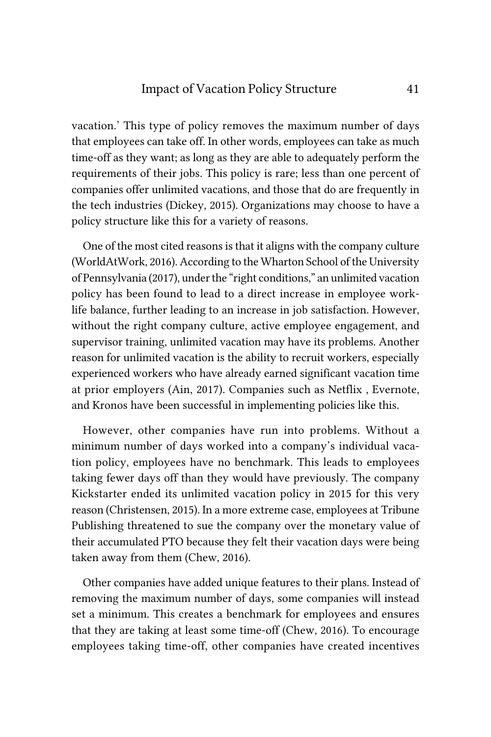### Impact of Vacation Policy Structure 41

vacation.' This type of policy removes the maximum number of days that employees can take off. In other words, employees can take as much time-off as they want; as long as they are able to adequately perform the requirements of their jobs. This policy is rare; less than one percent of companies offer unlimited vacations, and those that do are frequently in the tech industries (Dickey, 2015). Organizations may choose to have a policy structure like this for a variety of reasons.

One of the most cited reasons is that it aligns with the company culture (WorldAtWork, 2016). According to the Wharton School of the University of Pennsylvania (2017), under the "right conditions," an unlimited vacation policy has been found to lead to a direct increase in employee worklife balance, further leading to an increase in job satisfaction. However, without the right company culture, active employee engagement, and supervisor training, unlimited vacation may have its problems. Another reason for unlimited vacation is the ability to recruit workers, especially experienced workers who have already earned significant vacation time at prior employers (Ain, 2017). Companies such as Netflix , Evernote, and Kronos have been successful in implementing policies like this.

However, other companies have run into problems. Without a minimum number of days worked into a company's individual vacation policy, employees have no benchmark. This leads to employees taking fewer days off than they would have previously. The company Kickstarter ended its unlimited vacation policy in 2015 for this very reason (Christensen, 2015). In a more extreme case, employees at Tribune Publishing threatened to sue the company over the monetary value of their accumulated PTO because they felt their vacation days were being taken away from them (Chew, 2016).

Other companies have added unique features to their plans. Instead of removing the maximum number of days, some companies will instead set a minimum. This creates a benchmark for employees and ensures that they are taking at least some time-off (Chew, 2016). To encourage employees taking time-off, other companies have created incentives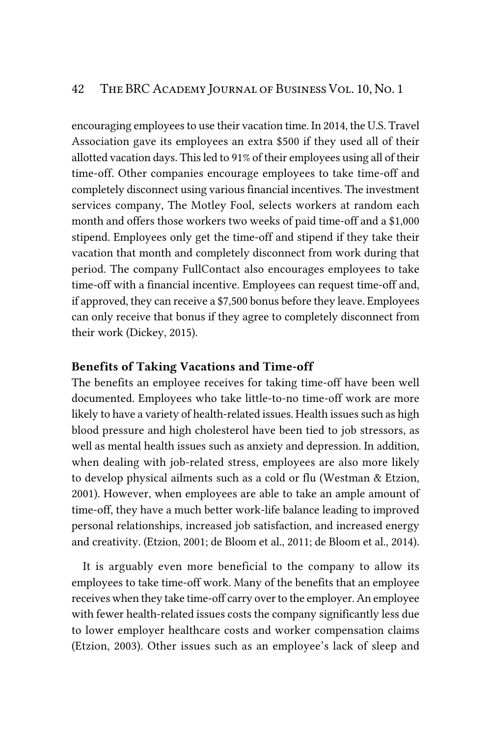encouraging employees to use their vacation time. In 2014, the U.S. Travel Association gave its employees an extra \$500 if they used all of their allotted vacation days. This led to 91% of their employees using all of their time-off. Other companies encourage employees to take time-off and completely disconnect using various financial incentives. The investment services company, The Motley Fool, selects workers at random each month and offers those workers two weeks of paid time-off and a \$1,000 stipend. Employees only get the time-off and stipend if they take their vacation that month and completely disconnect from work during that period. The company FullContact also encourages employees to take time-off with a financial incentive. Employees can request time-off and, if approved, they can receive a \$7,500 bonus before they leave. Employees can only receive that bonus if they agree to completely disconnect from their work (Dickey, 2015).

## Benefits of Taking Vacations and Time-off

The benefits an employee receives for taking time-off have been well documented. Employees who take little-to-no time-off work are more likely to have a variety of health-related issues. Health issues such as high blood pressure and high cholesterol have been tied to job stressors, as well as mental health issues such as anxiety and depression. In addition, when dealing with job-related stress, employees are also more likely to develop physical ailments such as a cold or flu (Westman & Etzion, 2001). However, when employees are able to take an ample amount of time-off, they have a much better work-life balance leading to improved personal relationships, increased job satisfaction, and increased energy and creativity. (Etzion, 2001; de Bloom et al., 2011; de Bloom et al., 2014).

It is arguably even more beneficial to the company to allow its employees to take time-off work. Many of the benefits that an employee receives when they take time-off carry over to the employer. An employee with fewer health-related issues costs the company significantly less due to lower employer healthcare costs and worker compensation claims (Etzion, 2003). Other issues such as an employee's lack of sleep and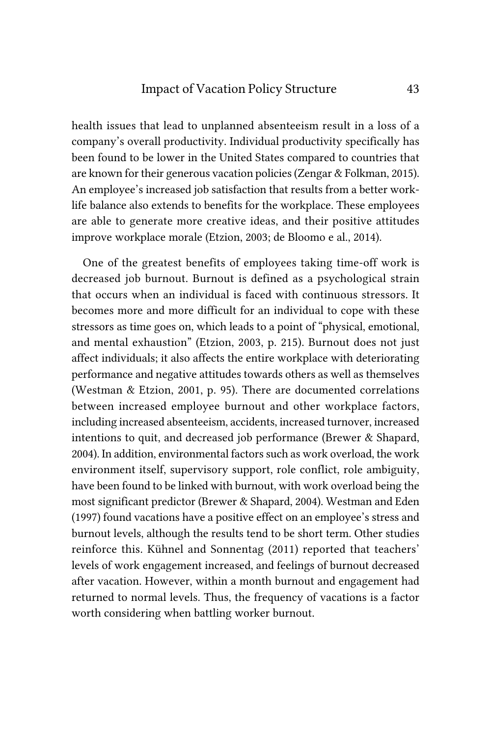health issues that lead to unplanned absenteeism result in a loss of a company's overall productivity. Individual productivity specifically has been found to be lower in the United States compared to countries that are known for their generous vacation policies (Zengar & Folkman, 2015). An employee's increased job satisfaction that results from a better worklife balance also extends to benefits for the workplace. These employees are able to generate more creative ideas, and their positive attitudes improve workplace morale (Etzion, 2003; de Bloomo e al., 2014).

One of the greatest benefits of employees taking time-off work is decreased job burnout. Burnout is defined as a psychological strain that occurs when an individual is faced with continuous stressors. It becomes more and more difficult for an individual to cope with these stressors as time goes on, which leads to a point of "physical, emotional, and mental exhaustion" (Etzion, 2003, p. 215). Burnout does not just affect individuals; it also affects the entire workplace with deteriorating performance and negative attitudes towards others as well as themselves (Westman & Etzion, 2001, p. 95). There are documented correlations between increased employee burnout and other workplace factors, including increased absenteeism, accidents, increased turnover, increased intentions to quit, and decreased job performance (Brewer & Shapard, 2004). In addition, environmental factors such as work overload, the work environment itself, supervisory support, role conflict, role ambiguity, have been found to be linked with burnout, with work overload being the most significant predictor (Brewer & Shapard, 2004). Westman and Eden (1997) found vacations have a positive effect on an employee's stress and burnout levels, although the results tend to be short term. Other studies reinforce this. Kühnel and Sonnentag (2011) reported that teachers' levels of work engagement increased, and feelings of burnout decreased after vacation. However, within a month burnout and engagement had returned to normal levels. Thus, the frequency of vacations is a factor worth considering when battling worker burnout.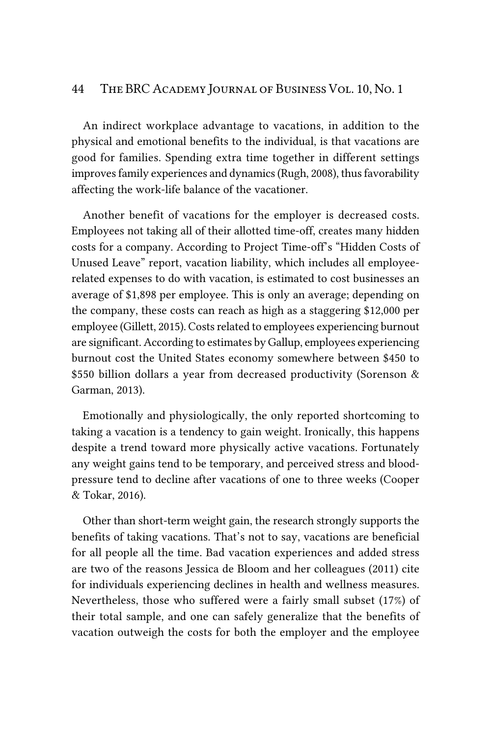An indirect workplace advantage to vacations, in addition to the physical and emotional benefits to the individual, is that vacations are good for families. Spending extra time together in different settings improves family experiences and dynamics (Rugh, 2008), thus favorability affecting the work-life balance of the vacationer.

Another benefit of vacations for the employer is decreased costs. Employees not taking all of their allotted time-off, creates many hidden costs for a company. According to Project Time-off's "Hidden Costs of Unused Leave" report, vacation liability, which includes all employeerelated expenses to do with vacation, is estimated to cost businesses an average of \$1,898 per employee. This is only an average; depending on the company, these costs can reach as high as a staggering \$12,000 per employee (Gillett, 2015). Costs related to employees experiencing burnout are significant. According to estimates by Gallup, employees experiencing burnout cost the United States economy somewhere between \$450 to \$550 billion dollars a year from decreased productivity (Sorenson & Garman, 2013).

Emotionally and physiologically, the only reported shortcoming to taking a vacation is a tendency to gain weight. Ironically, this happens despite a trend toward more physically active vacations. Fortunately any weight gains tend to be temporary, and perceived stress and bloodpressure tend to decline after vacations of one to three weeks (Cooper & Tokar, 2016).

Other than short-term weight gain, the research strongly supports the benefits of taking vacations. That's not to say, vacations are beneficial for all people all the time. Bad vacation experiences and added stress are two of the reasons Jessica de Bloom and her colleagues (2011) cite for individuals experiencing declines in health and wellness measures. Nevertheless, those who suffered were a fairly small subset (17%) of their total sample, and one can safely generalize that the benefits of vacation outweigh the costs for both the employer and the employee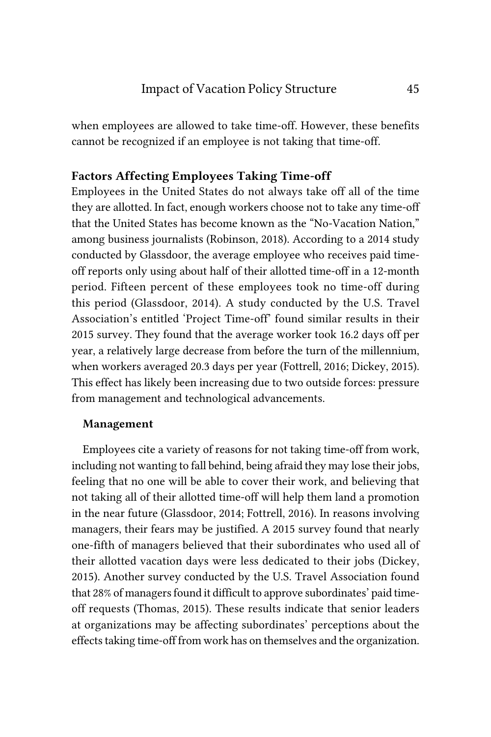when employees are allowed to take time-off. However, these benefits cannot be recognized if an employee is not taking that time-off.

# Factors Affecting Employees Taking Time-off

Employees in the United States do not always take off all of the time they are allotted. In fact, enough workers choose not to take any time-off that the United States has become known as the "No-Vacation Nation," among business journalists (Robinson, 2018). According to a 2014 study conducted by Glassdoor, the average employee who receives paid timeoff reports only using about half of their allotted time-off in a 12-month period. Fifteen percent of these employees took no time-off during this period (Glassdoor, 2014). A study conducted by the U.S. Travel Association's entitled 'Project Time-off' found similar results in their 2015 survey. They found that the average worker took 16.2 days off per year, a relatively large decrease from before the turn of the millennium, when workers averaged 20.3 days per year (Fottrell, 2016; Dickey, 2015). This effect has likely been increasing due to two outside forces: pressure from management and technological advancements.

#### Management

Employees cite a variety of reasons for not taking time-off from work, including not wanting to fall behind, being afraid they may lose their jobs, feeling that no one will be able to cover their work, and believing that not taking all of their allotted time-off will help them land a promotion in the near future (Glassdoor, 2014; Fottrell, 2016). In reasons involving managers, their fears may be justified. A 2015 survey found that nearly one-fifth of managers believed that their subordinates who used all of their allotted vacation days were less dedicated to their jobs (Dickey, 2015). Another survey conducted by the U.S. Travel Association found that 28% of managers found it difficult to approve subordinates' paid timeoff requests (Thomas, 2015). These results indicate that senior leaders at organizations may be affecting subordinates' perceptions about the effects taking time-off from work has on themselves and the organization.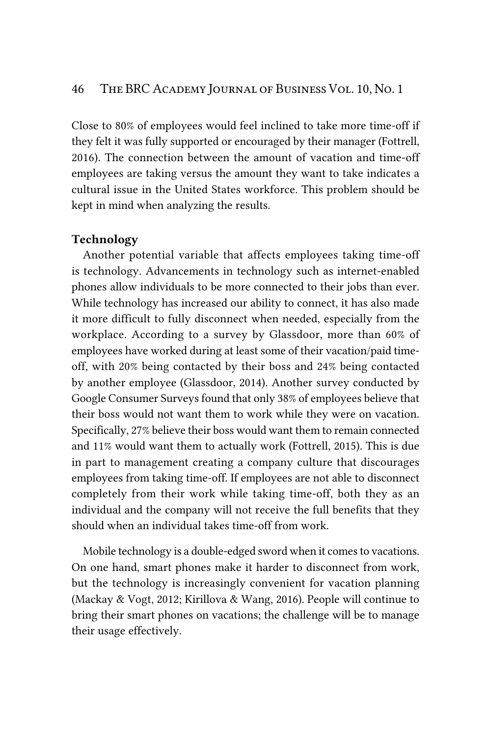Close to 80% of employees would feel inclined to take more time-off if they felt it was fully supported or encouraged by their manager (Fottrell, 2016). The connection between the amount of vacation and time-off employees are taking versus the amount they want to take indicates a cultural issue in the United States workforce. This problem should be kept in mind when analyzing the results.

#### Technology

Another potential variable that affects employees taking time-off is technology. Advancements in technology such as internet-enabled phones allow individuals to be more connected to their jobs than ever. While technology has increased our ability to connect, it has also made it more difficult to fully disconnect when needed, especially from the workplace. According to a survey by Glassdoor, more than 60% of employees have worked during at least some of their vacation/paid timeoff, with 20% being contacted by their boss and 24% being contacted by another employee (Glassdoor, 2014). Another survey conducted by Google Consumer Surveys found that only 38% of employees believe that their boss would not want them to work while they were on vacation. Specifically, 27% believe their boss would want them to remain connected and 11% would want them to actually work (Fottrell, 2015). This is due in part to management creating a company culture that discourages employees from taking time-off. If employees are not able to disconnect completely from their work while taking time-off, both they as an individual and the company will not receive the full benefits that they should when an individual takes time-off from work.

Mobile technology is a double-edged sword when it comes to vacations. On one hand, smart phones make it harder to disconnect from work, but the technology is increasingly convenient for vacation planning (Mackay & Vogt, 2012; Kirillova & Wang, 2016). People will continue to bring their smart phones on vacations; the challenge will be to manage their usage effectively.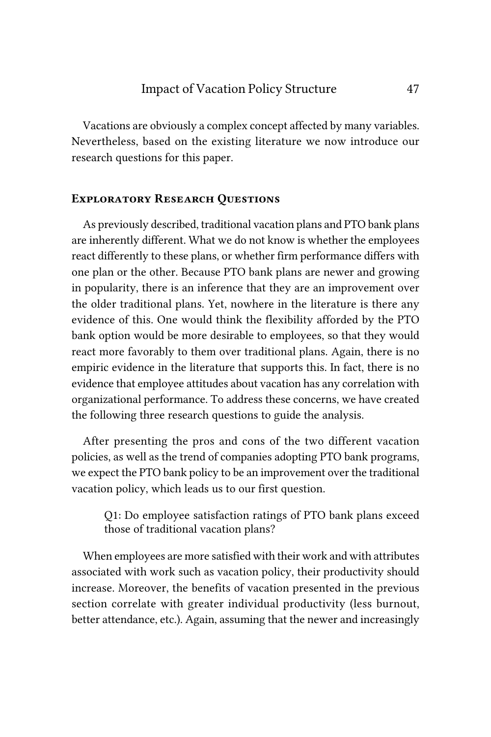Vacations are obviously a complex concept affected by many variables. Nevertheless, based on the existing literature we now introduce our research questions for this paper.

## *Exploratory Research Questions*

As previously described, traditional vacation plans and PTO bank plans are inherently different. What we do not know is whether the employees react differently to these plans, or whether firm performance differs with one plan or the other. Because PTO bank plans are newer and growing in popularity, there is an inference that they are an improvement over the older traditional plans. Yet, nowhere in the literature is there any evidence of this. One would think the flexibility afforded by the PTO bank option would be more desirable to employees, so that they would react more favorably to them over traditional plans. Again, there is no empiric evidence in the literature that supports this. In fact, there is no evidence that employee attitudes about vacation has any correlation with organizational performance. To address these concerns, we have created the following three research questions to guide the analysis.

After presenting the pros and cons of the two different vacation policies, as well as the trend of companies adopting PTO bank programs, we expect the PTO bank policy to be an improvement over the traditional vacation policy, which leads us to our first question.

Q1: Do employee satisfaction ratings of PTO bank plans exceed those of traditional vacation plans?

When employees are more satisfied with their work and with attributes associated with work such as vacation policy, their productivity should increase. Moreover, the benefits of vacation presented in the previous section correlate with greater individual productivity (less burnout, better attendance, etc.). Again, assuming that the newer and increasingly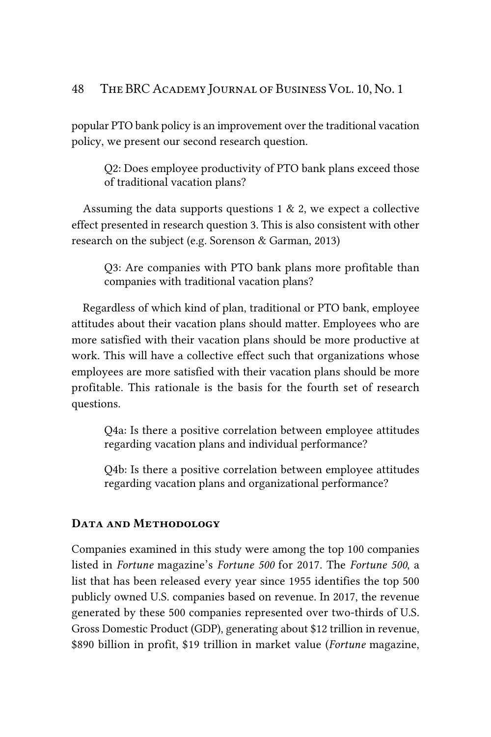popular PTO bank policy is an improvement over the traditional vacation policy, we present our second research question.

Q2: Does employee productivity of PTO bank plans exceed those of traditional vacation plans?

Assuming the data supports questions  $1 \& 2$ , we expect a collective effect presented in research question 3. This is also consistent with other research on the subject (e.g. Sorenson & Garman, 2013)

Q3: Are companies with PTO bank plans more profitable than companies with traditional vacation plans?

Regardless of which kind of plan, traditional or PTO bank, employee attitudes about their vacation plans should matter. Employees who are more satisfied with their vacation plans should be more productive at work. This will have a collective effect such that organizations whose employees are more satisfied with their vacation plans should be more profitable. This rationale is the basis for the fourth set of research questions.

Q4a: Is there a positive correlation between employee attitudes regarding vacation plans and individual performance?

Q4b: Is there a positive correlation between employee attitudes regarding vacation plans and organizational performance?

#### *Data and Methodology*

Companies examined in this study were among the top 100 companies listed in *Fortune* magazine's *Fortune 500* for 2017. The *Fortune 500*, a list that has been released every year since 1955 identifies the top 500 publicly owned U.S. companies based on revenue. In 2017, the revenue generated by these 500 companies represented over two-thirds of U.S. Gross Domestic Product (GDP), generating about \$12 trillion in revenue, \$890 billion in profit, \$19 trillion in market value (*Fortune* magazine,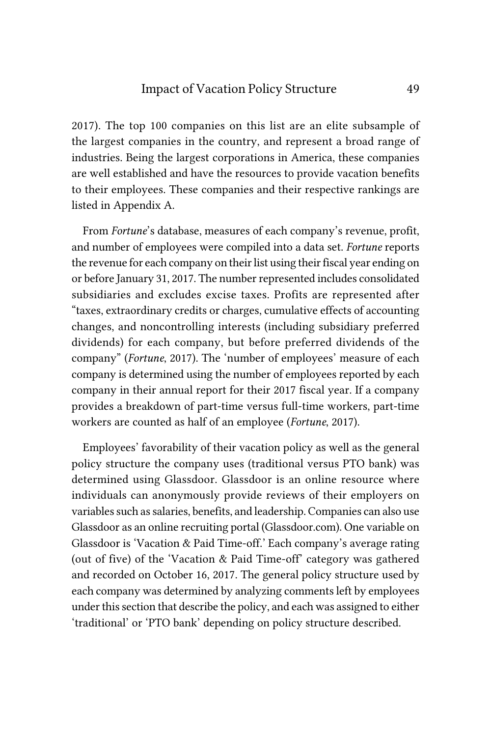2017). The top 100 companies on this list are an elite subsample of the largest companies in the country, and represent a broad range of industries. Being the largest corporations in America, these companies are well established and have the resources to provide vacation benefits to their employees. These companies and their respective rankings are listed in Appendix A.

From *Fortune*'s database, measures of each company's revenue, profit, and number of employees were compiled into a data set. *Fortune* reports the revenue for each company on their list using their fiscal year ending on or before January 31, 2017. The number represented includes consolidated subsidiaries and excludes excise taxes. Profits are represented after "taxes, extraordinary credits or charges, cumulative effects of accounting changes, and noncontrolling interests (including subsidiary preferred dividends) for each company, but before preferred dividends of the company" (*Fortune*, 2017). The 'number of employees' measure of each company is determined using the number of employees reported by each company in their annual report for their 2017 fiscal year. If a company provides a breakdown of part-time versus full-time workers, part-time workers are counted as half of an employee (*Fortune*, 2017).

Employees' favorability of their vacation policy as well as the general policy structure the company uses (traditional versus PTO bank) was determined using Glassdoor. Glassdoor is an online resource where individuals can anonymously provide reviews of their employers on variables such as salaries, benefits, and leadership. Companies can also use Glassdoor as an online recruiting portal (Glassdoor.com). One variable on Glassdoor is 'Vacation & Paid Time-off.' Each company's average rating (out of five) of the 'Vacation & Paid Time-off' category was gathered and recorded on October 16, 2017. The general policy structure used by each company was determined by analyzing comments left by employees under this section that describe the policy, and each was assigned to either 'traditional' or 'PTO bank' depending on policy structure described.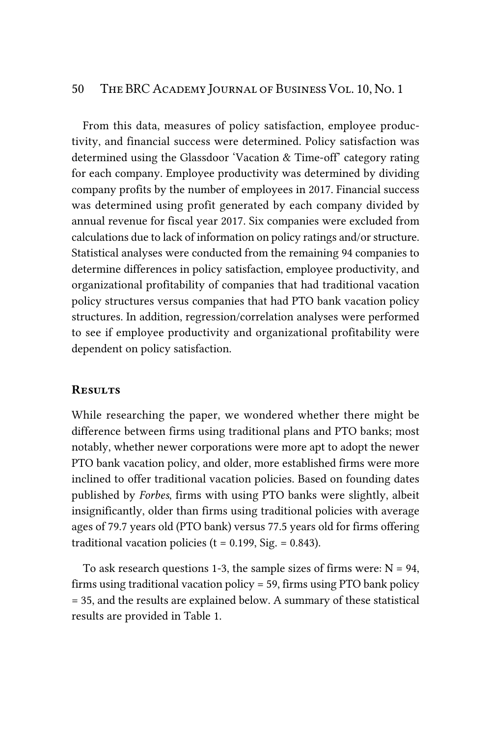From this data, measures of policy satisfaction, employee productivity, and financial success were determined. Policy satisfaction was determined using the Glassdoor 'Vacation & Time-off' category rating for each company. Employee productivity was determined by dividing company profits by the number of employees in 2017. Financial success was determined using profit generated by each company divided by annual revenue for fiscal year 2017. Six companies were excluded from calculations due to lack of information on policy ratings and/or structure. Statistical analyses were conducted from the remaining 94 companies to determine differences in policy satisfaction, employee productivity, and organizational profitability of companies that had traditional vacation policy structures versus companies that had PTO bank vacation policy structures. In addition, regression/correlation analyses were performed to see if employee productivity and organizational profitability were dependent on policy satisfaction.

#### *Results*

While researching the paper, we wondered whether there might be difference between firms using traditional plans and PTO banks; most notably, whether newer corporations were more apt to adopt the newer PTO bank vacation policy, and older, more established firms were more inclined to offer traditional vacation policies. Based on founding dates published by *Forbes*, firms with using PTO banks were slightly, albeit insignificantly, older than firms using traditional policies with average ages of 79.7 years old (PTO bank) versus 77.5 years old for firms offering traditional vacation policies ( $t = 0.199$ , Sig. = 0.843).

To ask research questions 1-3, the sample sizes of firms were:  $N = 94$ , firms using traditional vacation policy = 59, firms using PTO bank policy = 35, and the results are explained below. A summary of these statistical results are provided in Table 1.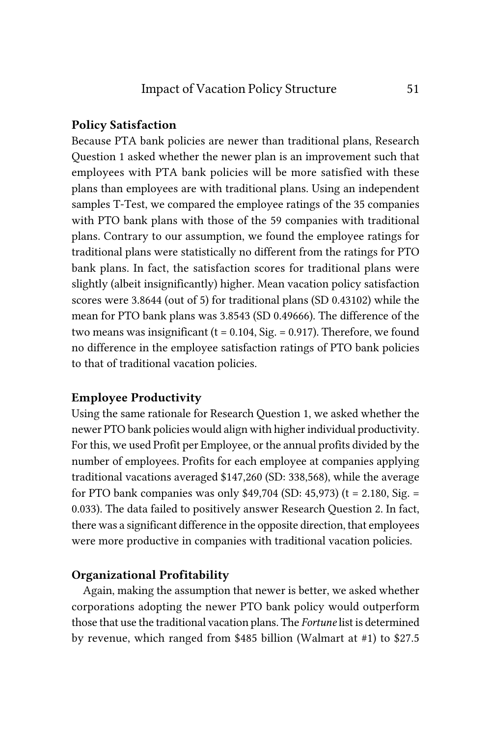#### Policy Satisfaction

Because PTA bank policies are newer than traditional plans, Research Question 1 asked whether the newer plan is an improvement such that employees with PTA bank policies will be more satisfied with these plans than employees are with traditional plans. Using an independent samples T-Test, we compared the employee ratings of the 35 companies with PTO bank plans with those of the 59 companies with traditional plans. Contrary to our assumption, we found the employee ratings for traditional plans were statistically no different from the ratings for PTO bank plans. In fact, the satisfaction scores for traditional plans were slightly (albeit insignificantly) higher. Mean vacation policy satisfaction scores were 3.8644 (out of 5) for traditional plans (SD 0.43102) while the mean for PTO bank plans was 3.8543 (SD 0.49666). The difference of the two means was insignificant ( $t = 0.104$ , Sig. = 0.917). Therefore, we found no difference in the employee satisfaction ratings of PTO bank policies to that of traditional vacation policies.

# Employee Productivity

Using the same rationale for Research Question 1, we asked whether the newer PTO bank policies would align with higher individual productivity. For this, we used Profit per Employee, or the annual profits divided by the number of employees. Profits for each employee at companies applying traditional vacations averaged \$147,260 (SD: 338,568), while the average for PTO bank companies was only  $$49,704$  (SD: 45,973) (t = 2.180, Sig. = 0.033). The data failed to positively answer Research Question 2. In fact, there was a significant difference in the opposite direction, that employees were more productive in companies with traditional vacation policies.

# Organizational Profitability

Again, making the assumption that newer is better, we asked whether corporations adopting the newer PTO bank policy would outperform those that use the traditional vacation plans. The *Fortune* list is determined by revenue, which ranged from \$485 billion (Walmart at #1) to \$27.5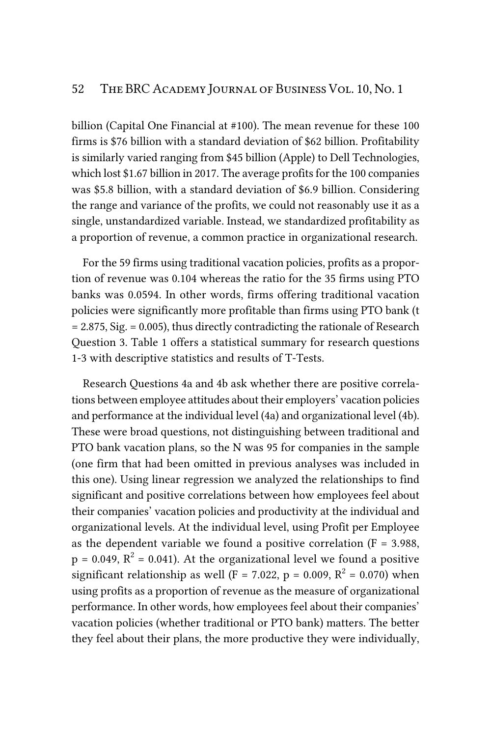billion (Capital One Financial at #100). The mean revenue for these 100 firms is \$76 billion with a standard deviation of \$62 billion. Profitability is similarly varied ranging from \$45 billion (Apple) to Dell Technologies, which lost \$1.67 billion in 2017. The average profits for the 100 companies was \$5.8 billion, with a standard deviation of \$6.9 billion. Considering the range and variance of the profits, we could not reasonably use it as a single, unstandardized variable. Instead, we standardized profitability as a proportion of revenue, a common practice in organizational research.

For the 59 firms using traditional vacation policies, profits as a proportion of revenue was 0.104 whereas the ratio for the 35 firms using PTO banks was 0.0594. In other words, firms offering traditional vacation policies were significantly more profitable than firms using PTO bank (t = 2.875, Sig. = 0.005), thus directly contradicting the rationale of Research Question 3. Table 1 offers a statistical summary for research questions 1-3 with descriptive statistics and results of T-Tests.

Research Questions 4a and 4b ask whether there are positive correlations between employee attitudes about their employers' vacation policies and performance at the individual level (4a) and organizational level (4b). These were broad questions, not distinguishing between traditional and PTO bank vacation plans, so the N was 95 for companies in the sample (one firm that had been omitted in previous analyses was included in this one). Using linear regression we analyzed the relationships to find significant and positive correlations between how employees feel about their companies' vacation policies and productivity at the individual and organizational levels. At the individual level, using Profit per Employee as the dependent variable we found a positive correlation  $(F = 3.988,$  $p = 0.049$ ,  $R^2 = 0.041$ ). At the organizational level we found a positive significant relationship as well (F = 7.022, p = 0.009,  $R^2$  = 0.070) when using profits as a proportion of revenue as the measure of organizational performance. In other words, how employees feel about their companies' vacation policies (whether traditional or PTO bank) matters. The better they feel about their plans, the more productive they were individually,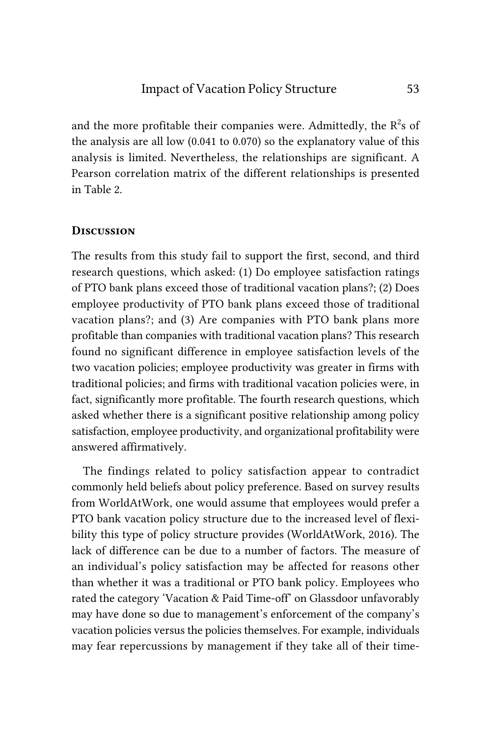and the more profitable their companies were. Admittedly, the  $R^2$ s of the analysis are all low (0.041 to 0.070) so the explanatory value of this analysis is limited. Nevertheless, the relationships are significant. A Pearson correlation matrix of the different relationships is presented in Table 2.

#### *Discussion*

The results from this study fail to support the first, second, and third research questions, which asked: (1) Do employee satisfaction ratings of PTO bank plans exceed those of traditional vacation plans?; (2) Does employee productivity of PTO bank plans exceed those of traditional vacation plans?; and (3) Are companies with PTO bank plans more profitable than companies with traditional vacation plans? This research found no significant difference in employee satisfaction levels of the two vacation policies; employee productivity was greater in firms with traditional policies; and firms with traditional vacation policies were, in fact, significantly more profitable. The fourth research questions, which asked whether there is a significant positive relationship among policy satisfaction, employee productivity, and organizational profitability were answered affirmatively.

The findings related to policy satisfaction appear to contradict commonly held beliefs about policy preference. Based on survey results from WorldAtWork, one would assume that employees would prefer a PTO bank vacation policy structure due to the increased level of flexibility this type of policy structure provides (WorldAtWork, 2016). The lack of difference can be due to a number of factors. The measure of an individual's policy satisfaction may be affected for reasons other than whether it was a traditional or PTO bank policy. Employees who rated the category 'Vacation & Paid Time-off' on Glassdoor unfavorably may have done so due to management's enforcement of the company's vacation policies versus the policies themselves. For example, individuals may fear repercussions by management if they take all of their time-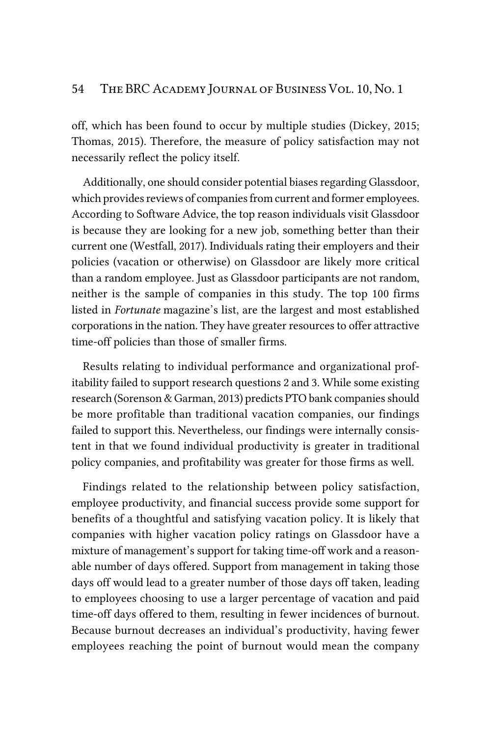off, which has been found to occur by multiple studies (Dickey, 2015; Thomas, 2015). Therefore, the measure of policy satisfaction may not necessarily reflect the policy itself.

Additionally, one should consider potential biases regarding Glassdoor, which provides reviews of companies from current and former employees. According to Software Advice, the top reason individuals visit Glassdoor is because they are looking for a new job, something better than their current one (Westfall, 2017). Individuals rating their employers and their policies (vacation or otherwise) on Glassdoor are likely more critical than a random employee. Just as Glassdoor participants are not random, neither is the sample of companies in this study. The top 100 firms listed in *Fortunate* magazine's list, are the largest and most established corporations in the nation. They have greater resources to offer attractive time-off policies than those of smaller firms.

Results relating to individual performance and organizational profitability failed to support research questions 2 and 3. While some existing research (Sorenson & Garman, 2013) predicts PTO bank companies should be more profitable than traditional vacation companies, our findings failed to support this. Nevertheless, our findings were internally consistent in that we found individual productivity is greater in traditional policy companies, and profitability was greater for those firms as well.

Findings related to the relationship between policy satisfaction, employee productivity, and financial success provide some support for benefits of a thoughtful and satisfying vacation policy. It is likely that companies with higher vacation policy ratings on Glassdoor have a mixture of management's support for taking time-off work and a reasonable number of days offered. Support from management in taking those days off would lead to a greater number of those days off taken, leading to employees choosing to use a larger percentage of vacation and paid time-off days offered to them, resulting in fewer incidences of burnout. Because burnout decreases an individual's productivity, having fewer employees reaching the point of burnout would mean the company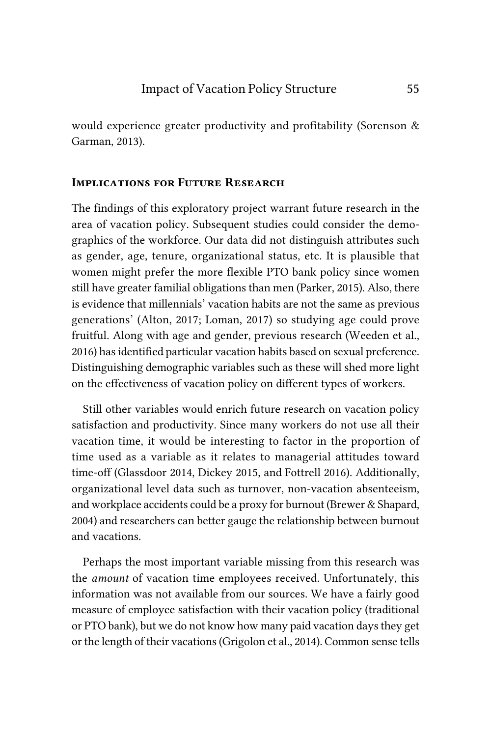would experience greater productivity and profitability (Sorenson & Garman, 2013).

# *Implications for Future Research*

The findings of this exploratory project warrant future research in the area of vacation policy. Subsequent studies could consider the demographics of the workforce. Our data did not distinguish attributes such as gender, age, tenure, organizational status, etc. It is plausible that women might prefer the more flexible PTO bank policy since women still have greater familial obligations than men (Parker, 2015). Also, there is evidence that millennials' vacation habits are not the same as previous generations' (Alton, 2017; Loman, 2017) so studying age could prove fruitful. Along with age and gender, previous research (Weeden et al., 2016) has identified particular vacation habits based on sexual preference. Distinguishing demographic variables such as these will shed more light on the effectiveness of vacation policy on different types of workers.

Still other variables would enrich future research on vacation policy satisfaction and productivity. Since many workers do not use all their vacation time, it would be interesting to factor in the proportion of time used as a variable as it relates to managerial attitudes toward time-off (Glassdoor 2014, Dickey 2015, and Fottrell 2016). Additionally, organizational level data such as turnover, non-vacation absenteeism, and workplace accidents could be a proxy for burnout (Brewer & Shapard, 2004) and researchers can better gauge the relationship between burnout and vacations.

Perhaps the most important variable missing from this research was the *amount* of vacation time employees received. Unfortunately, this information was not available from our sources. We have a fairly good measure of employee satisfaction with their vacation policy (traditional or PTO bank), but we do not know how many paid vacation days they get or the length of their vacations (Grigolon et al., 2014). Common sense tells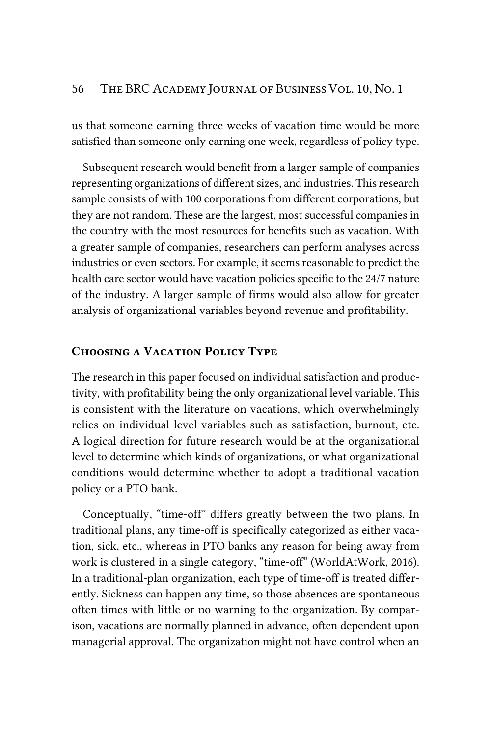us that someone earning three weeks of vacation time would be more satisfied than someone only earning one week, regardless of policy type.

Subsequent research would benefit from a larger sample of companies representing organizations of different sizes, and industries. This research sample consists of with 100 corporations from different corporations, but they are not random. These are the largest, most successful companies in the country with the most resources for benefits such as vacation. With a greater sample of companies, researchers can perform analyses across industries or even sectors. For example, it seems reasonable to predict the health care sector would have vacation policies specific to the 24/7 nature of the industry. A larger sample of firms would also allow for greater analysis of organizational variables beyond revenue and profitability.

## *Choosing a Vacation Policy Type*

The research in this paper focused on individual satisfaction and productivity, with profitability being the only organizational level variable. This is consistent with the literature on vacations, which overwhelmingly relies on individual level variables such as satisfaction, burnout, etc. A logical direction for future research would be at the organizational level to determine which kinds of organizations, or what organizational conditions would determine whether to adopt a traditional vacation policy or a PTO bank.

Conceptually, "time-off" differs greatly between the two plans. In traditional plans, any time-off is specifically categorized as either vacation, sick, etc., whereas in PTO banks any reason for being away from work is clustered in a single category, "time-off" (WorldAtWork, 2016). In a traditional-plan organization, each type of time-off is treated differently. Sickness can happen any time, so those absences are spontaneous often times with little or no warning to the organization. By comparison, vacations are normally planned in advance, often dependent upon managerial approval. The organization might not have control when an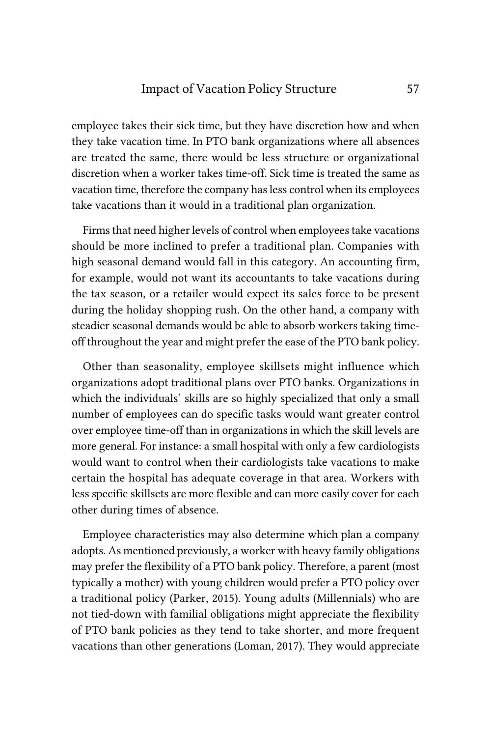# Impact of Vacation Policy Structure 57

employee takes their sick time, but they have discretion how and when they take vacation time. In PTO bank organizations where all absences are treated the same, there would be less structure or organizational discretion when a worker takes time-off. Sick time is treated the same as vacation time, therefore the company has less control when its employees take vacations than it would in a traditional plan organization.

Firms that need higher levels of control when employees take vacations should be more inclined to prefer a traditional plan. Companies with high seasonal demand would fall in this category. An accounting firm, for example, would not want its accountants to take vacations during the tax season, or a retailer would expect its sales force to be present during the holiday shopping rush. On the other hand, a company with steadier seasonal demands would be able to absorb workers taking timeoff throughout the year and might prefer the ease of the PTO bank policy.

Other than seasonality, employee skillsets might influence which organizations adopt traditional plans over PTO banks. Organizations in which the individuals' skills are so highly specialized that only a small number of employees can do specific tasks would want greater control over employee time-off than in organizations in which the skill levels are more general. For instance: a small hospital with only a few cardiologists would want to control when their cardiologists take vacations to make certain the hospital has adequate coverage in that area. Workers with less specific skillsets are more flexible and can more easily cover for each other during times of absence.

Employee characteristics may also determine which plan a company adopts. As mentioned previously, a worker with heavy family obligations may prefer the flexibility of a PTO bank policy. Therefore, a parent (most typically a mother) with young children would prefer a PTO policy over a traditional policy (Parker, 2015). Young adults (Millennials) who are not tied-down with familial obligations might appreciate the flexibility of PTO bank policies as they tend to take shorter, and more frequent vacations than other generations (Loman, 2017). They would appreciate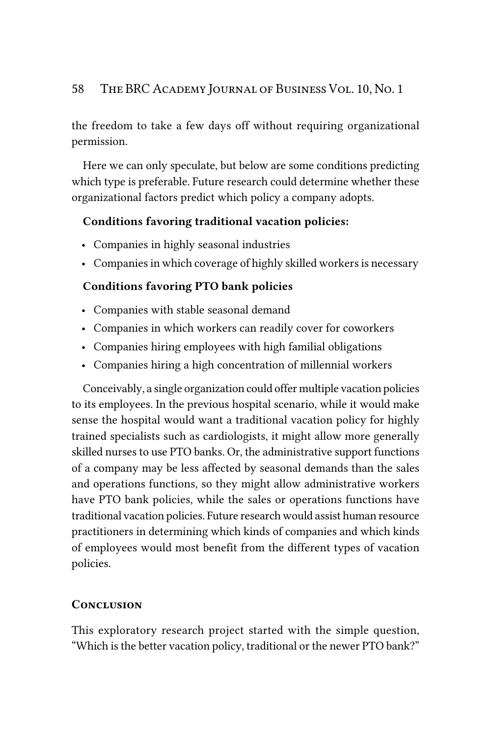the freedom to take a few days off without requiring organizational permission.

Here we can only speculate, but below are some conditions predicting which type is preferable. Future research could determine whether these organizational factors predict which policy a company adopts.

# Conditions favoring traditional vacation policies:

- Companies in highly seasonal industries
- Companies in which coverage of highly skilled workers is necessary

# Conditions favoring PTO bank policies

- Companies with stable seasonal demand
- Companies in which workers can readily cover for coworkers
- Companies hiring employees with high familial obligations
- Companies hiring a high concentration of millennial workers

Conceivably, a single organization could offer multiple vacation policies to its employees. In the previous hospital scenario, while it would make sense the hospital would want a traditional vacation policy for highly trained specialists such as cardiologists, it might allow more generally skilled nurses to use PTO banks. Or, the administrative support functions of a company may be less affected by seasonal demands than the sales and operations functions, so they might allow administrative workers have PTO bank policies, while the sales or operations functions have traditional vacation policies. Future research would assist human resource practitioners in determining which kinds of companies and which kinds of employees would most benefit from the different types of vacation policies.

# *Conclusion*

This exploratory research project started with the simple question, "Which is the better vacation policy, traditional or the newer PTO bank?"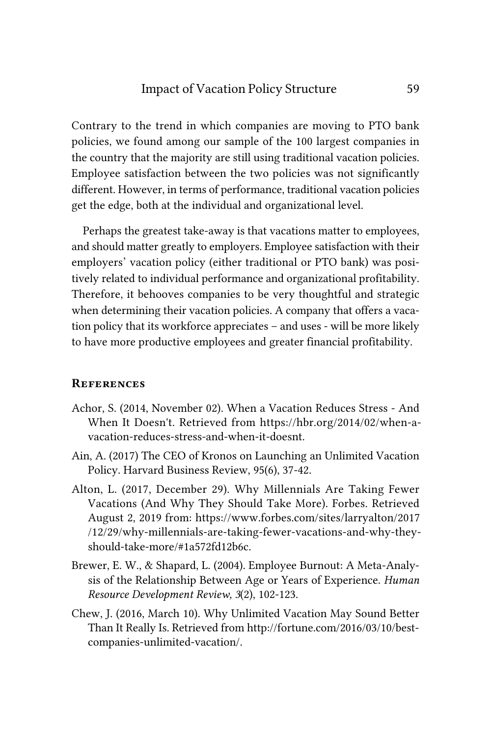Contrary to the trend in which companies are moving to PTO bank policies, we found among our sample of the 100 largest companies in the country that the majority are still using traditional vacation policies. Employee satisfaction between the two policies was not significantly different. However, in terms of performance, traditional vacation policies get the edge, both at the individual and organizational level.

Perhaps the greatest take-away is that vacations matter to employees, and should matter greatly to employers. Employee satisfaction with their employers' vacation policy (either traditional or PTO bank) was positively related to individual performance and organizational profitability. Therefore, it behooves companies to be very thoughtful and strategic when determining their vacation policies. A company that offers a vacation policy that its workforce appreciates – and uses - will be more likely to have more productive employees and greater financial profitability.

#### *References*

- Achor, S. (2014, November 02). When a Vacation Reduces Stress And When It Doesn't. Retrieved from https://hbr.org/2014/02/when-avacation-reduces-stress-and-when-it-doesnt.
- Ain, A. (2017) The CEO of Kronos on Launching an Unlimited Vacation Policy. Harvard Business Review, 95(6), 37-42.
- Alton, L. (2017, December 29). Why Millennials Are Taking Fewer Vacations (And Why They Should Take More). Forbes. Retrieved August 2, 2019 from: https://www.forbes.com/sites/larryalton/2017 /12/29/why-millennials-are-taking-fewer-vacations-and-why-theyshould-take-more/#1a572fd12b6c.
- Brewer, E. W., & Shapard, L. (2004). Employee Burnout: A Meta-Analysis of the Relationship Between Age or Years of Experience. *Human Resource Development Review, 3*(2), 102-123.
- Chew, J. (2016, March 10). Why Unlimited Vacation May Sound Better Than It Really Is. Retrieved from http://fortune.com/2016/03/10/bestcompanies-unlimited-vacation/.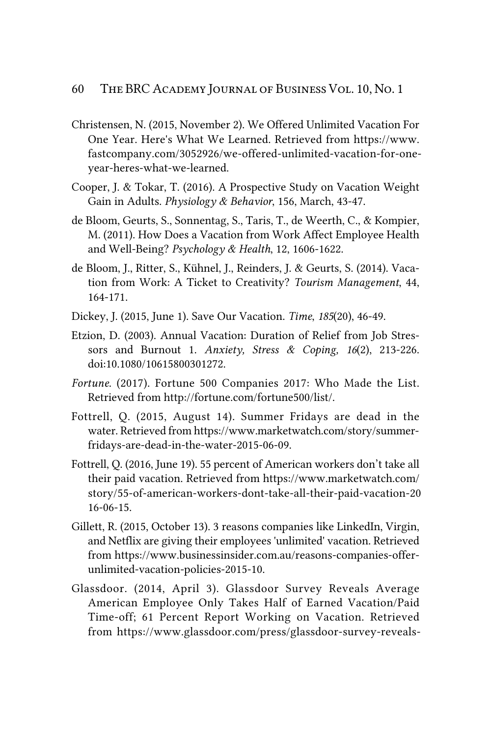- Christensen, N. (2015, November 2). We Offered Unlimited Vacation For One Year. Here's What We Learned. Retrieved from https://www. fastcompany.com/3052926/we-offered-unlimited-vacation-for-oneyear-heres-what-we-learned.
- Cooper, J. & Tokar, T. (2016). A Prospective Study on Vacation Weight Gain in Adults. *Physiology & Behavior*, 156, March, 43-47.
- de Bloom, Geurts, S., Sonnentag, S., Taris, T., de Weerth, C., & Kompier, M. (2011). How Does a Vacation from Work Affect Employee Health and Well-Being? *Psychology & Health*, 12, 1606-1622.
- de Bloom, J., Ritter, S., Kühnel, J., Reinders, J. & Geurts, S. (2014). Vacation from Work: A Ticket to Creativity? *Tourism Management*, 44, 164-171.
- Dickey, J. (2015, June 1). Save Our Vacation. *Time*, *185*(20), 46-49.
- Etzion, D. (2003). Annual Vacation: Duration of Relief from Job Stressors and Burnout 1. *Anxiety, Stress & Coping, 16*(2), 213-226. doi:10.1080/10615800301272.
- *Fortune*. (2017). Fortune 500 Companies 2017: Who Made the List. Retrieved from http://fortune.com/fortune500/list/.
- Fottrell, Q. (2015, August 14). Summer Fridays are dead in the water. Retrieved from https://www.marketwatch.com/story/summerfridays-are-dead-in-the-water-2015-06-09.
- Fottrell, Q. (2016, June 19). 55 percent of American workers don't take all their paid vacation. Retrieved from https://www.marketwatch.com/ story/55-of-american-workers-dont-take-all-their-paid-vacation-20 16-06-15.
- Gillett, R. (2015, October 13). 3 reasons companies like LinkedIn, Virgin, and Netflix are giving their employees 'unlimited' vacation. Retrieved from https://www.businessinsider.com.au/reasons-companies-offerunlimited-vacation-policies-2015-10.
- Glassdoor. (2014, April 3). Glassdoor Survey Reveals Average American Employee Only Takes Half of Earned Vacation/Paid Time-off; 61 Percent Report Working on Vacation. Retrieved from https://www.glassdoor.com/press/glassdoor-survey-reveals-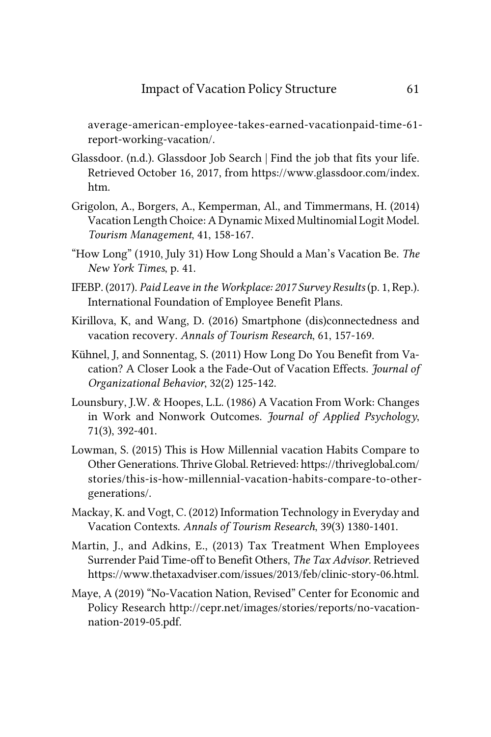average-american-employee-takes-earned-vacationpaid-time-61 report-working-vacation/.

- Glassdoor. (n.d.). Glassdoor Job Search | Find the job that fits your life. Retrieved October 16, 2017, from https://www.glassdoor.com/index. htm.
- Grigolon, A., Borgers, A., Kemperman, Al., and Timmermans, H. (2014) Vacation Length Choice: A Dynamic Mixed Multinomial Logit Model. *Tourism Management*, 41, 158-167.
- "How Long" (1910, July 31) How Long Should a Man's Vacation Be. *The New York Times*, p. 41.
- IFEBP. (2017). *Paid Leave in the Workplace: 2017 Survey Results* (p. 1, Rep.). International Foundation of Employee Benefit Plans.
- Kirillova, K, and Wang, D. (2016) Smartphone (dis)connectedness and vacation recovery. *Annals of Tourism Research*, 61, 157-169.
- Kühnel, J, and Sonnentag, S. (2011) How Long Do You Benefit from Vacation? A Closer Look a the Fade-Out of Vacation Effects. *Journal of Organizational Behavior*, 32(2) 125-142.
- Lounsbury, J.W. & Hoopes, L.L. (1986) A Vacation From Work: Changes in Work and Nonwork Outcomes. *Journal of Applied Psychology*, 71(3), 392-401.
- Lowman, S. (2015) This is How Millennial vacation Habits Compare to Other Generations. Thrive Global. Retrieved: https://thriveglobal.com/ stories/this-is-how-millennial-vacation-habits-compare-to-othergenerations/.
- Mackay, K. and Vogt, C. (2012) Information Technology in Everyday and Vacation Contexts. *Annals of Tourism Research*, 39(3) 1380-1401.
- Martin, J., and Adkins, E., (2013) Tax Treatment When Employees Surrender Paid Time-off to Benefit Others, *The Tax Advisor*. Retrieved https://www.thetaxadviser.com/issues/2013/feb/clinic-story-06.html.
- Maye, A (2019) "No-Vacation Nation, Revised" Center for Economic and Policy Research http://cepr.net/images/stories/reports/no-vacationnation-2019-05.pdf.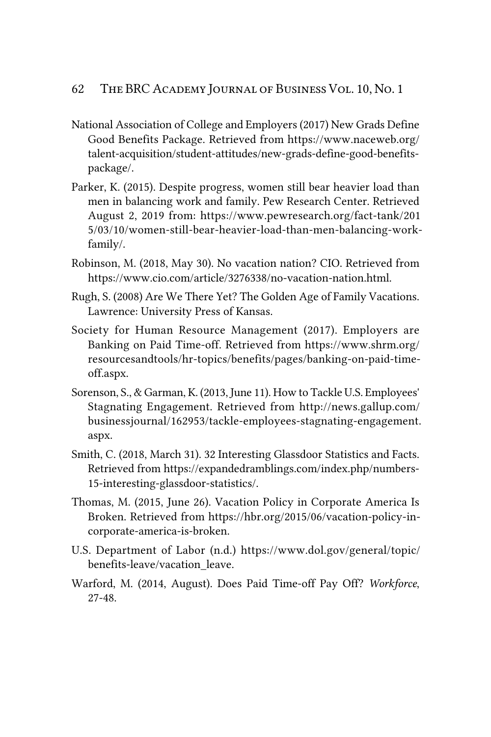- National Association of College and Employers (2017) New Grads Define Good Benefits Package. Retrieved from https://www.naceweb.org/ talent-acquisition/student-attitudes/new-grads-define-good-benefitspackage/.
- Parker, K. (2015). Despite progress, women still bear heavier load than men in balancing work and family. Pew Research Center. Retrieved August 2, 2019 from: https://www.pewresearch.org/fact-tank/201 5/03/10/women-still-bear-heavier-load-than-men-balancing-workfamily/.
- Robinson, M. (2018, May 30). No vacation nation? CIO. Retrieved from https://www.cio.com/article/3276338/no-vacation-nation.html.
- Rugh, S. (2008) Are We There Yet? The Golden Age of Family Vacations. Lawrence: University Press of Kansas.
- Society for Human Resource Management (2017). Employers are Banking on Paid Time-off. Retrieved from https://www.shrm.org/ resourcesandtools/hr-topics/benefits/pages/banking-on-paid-timeoff.aspx.
- Sorenson, S., & Garman, K. (2013, June 11). How to Tackle U.S. Employees' Stagnating Engagement. Retrieved from http://news.gallup.com/ businessjournal/162953/tackle-employees-stagnating-engagement. aspx.
- Smith, C. (2018, March 31). 32 Interesting Glassdoor Statistics and Facts. Retrieved from https://expandedramblings.com/index.php/numbers-15-interesting-glassdoor-statistics/.
- Thomas, M. (2015, June 26). Vacation Policy in Corporate America Is Broken. Retrieved from https://hbr.org/2015/06/vacation-policy-incorporate-america-is-broken.
- U.S. Department of Labor (n.d.) https://www.dol.gov/general/topic/ benefits-leave/vacation\_leave.
- Warford, M. (2014, August). Does Paid Time-off Pay Off? *Workforce*, 27-48.